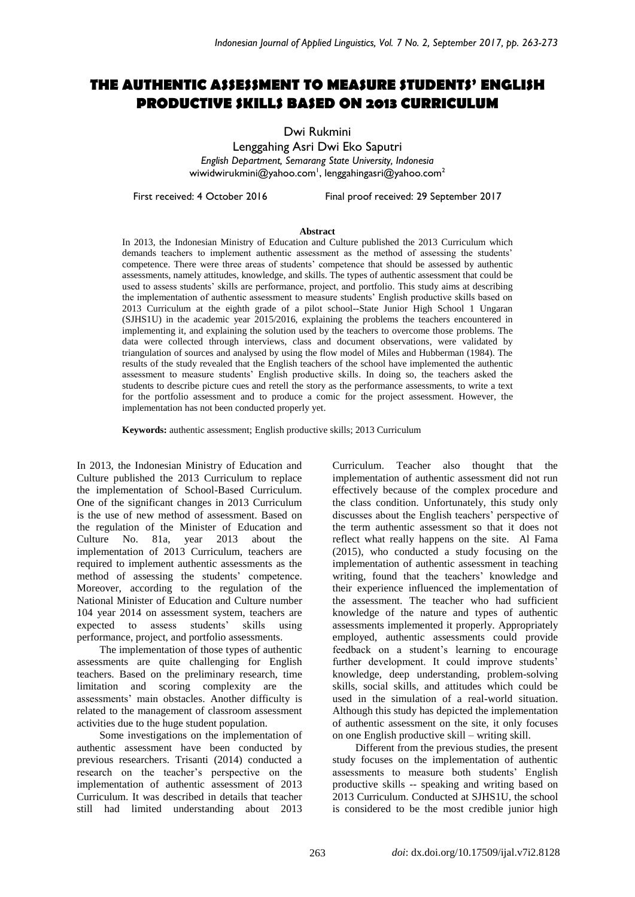# **THE AUTHENTIC ASSESSMENT TO MEASURE STUDENTS' ENGLISH PRODUCTIVE SKILLS BASED ON 2013 CURRICULUM**

Dwi Rukmini

Lenggahing Asri Dwi Eko Saputri *English Department, Semarang State University, Indonesia* wiwidwirukmini@yahoo.com $^{\textrm{!1}}$ , lenggahingasri@yahoo.com $^{\textrm{2}}$ 

First received: 4 October 2016 Final proof received: 29 September 2017

#### **Abstract**

In 2013, the Indonesian Ministry of Education and Culture published the 2013 Curriculum which demands teachers to implement authentic assessment as the method of assessing the students' competence. There were three areas of students' competence that should be assessed by authentic assessments, namely attitudes, knowledge, and skills. The types of authentic assessment that could be used to assess students' skills are performance, project, and portfolio. This study aims at describing the implementation of authentic assessment to measure students' English productive skills based on 2013 Curriculum at the eighth grade of a pilot school--State Junior High School 1 Ungaran (SJHS1U) in the academic year 2015/2016, explaining the problems the teachers encountered in implementing it, and explaining the solution used by the teachers to overcome those problems. The data were collected through interviews, class and document observations, were validated by triangulation of sources and analysed by using the flow model of Miles and Hubberman (1984). The results of the study revealed that the English teachers of the school have implemented the authentic assessment to measure students' English productive skills. In doing so, the teachers asked the students to describe picture cues and retell the story as the performance assessments, to write a text for the portfolio assessment and to produce a comic for the project assessment. However, the implementation has not been conducted properly yet.

**Keywords:** authentic assessment; English productive skills; 2013 Curriculum

In 2013, the Indonesian Ministry of Education and Culture published the 2013 Curriculum to replace the implementation of School-Based Curriculum. One of the significant changes in 2013 Curriculum is the use of new method of assessment. Based on the regulation of the Minister of Education and Culture No. 81a, year 2013 about the implementation of 2013 Curriculum, teachers are required to implement authentic assessments as the method of assessing the students' competence. Moreover, according to the regulation of the National Minister of Education and Culture number 104 year 2014 on assessment system, teachers are expected to assess students' skills using performance, project, and portfolio assessments.

The implementation of those types of authentic assessments are quite challenging for English teachers. Based on the preliminary research, time limitation and scoring complexity are the assessments' main obstacles. Another difficulty is related to the management of classroom assessment activities due to the huge student population.

Some investigations on the implementation of authentic assessment have been conducted by previous researchers. Trisanti (2014) conducted a research on the teacher's perspective on the implementation of authentic assessment of 2013 Curriculum. It was described in details that teacher still had limited understanding about 2013 Curriculum. Teacher also thought that the implementation of authentic assessment did not run effectively because of the complex procedure and the class condition. Unfortunately, this study only discusses about the English teachers' perspective of the term authentic assessment so that it does not reflect what really happens on the site. Al Fama (2015), who conducted a study focusing on the implementation of authentic assessment in teaching writing, found that the teachers' knowledge and their experience influenced the implementation of the assessment. The teacher who had sufficient knowledge of the nature and types of authentic assessments implemented it properly. Appropriately employed, authentic assessments could provide feedback on a student's learning to encourage further development. It could improve students' knowledge, deep understanding, problem-solving skills, social skills, and attitudes which could be used in the simulation of a real-world situation. Although this study has depicted the implementation of authentic assessment on the site, it only focuses on one English productive skill – writing skill.

Different from the previous studies, the present study focuses on the implementation of authentic assessments to measure both students' English productive skills -- speaking and writing based on 2013 Curriculum. Conducted at SJHS1U, the school is considered to be the most credible junior high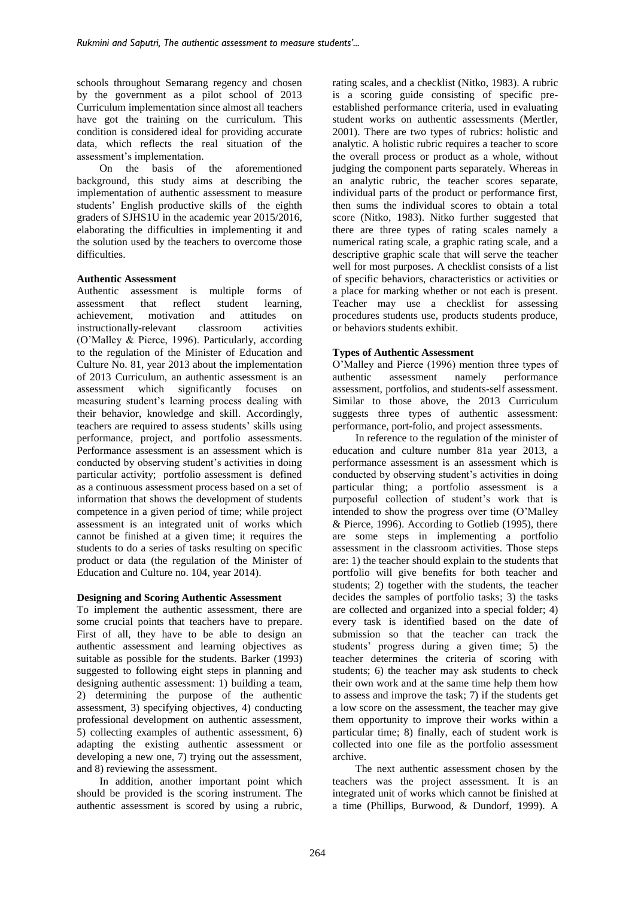schools throughout Semarang regency and chosen by the government as a pilot school of 2013 Curriculum implementation since almost all teachers have got the training on the curriculum. This condition is considered ideal for providing accurate data, which reflects the real situation of the assessment's implementation.

On the basis of the aforementioned background, this study aims at describing the implementation of authentic assessment to measure students' English productive skills of the eighth graders of SJHS1U in the academic year 2015/2016, elaborating the difficulties in implementing it and the solution used by the teachers to overcome those difficulties.

# **Authentic Assessment**

Authentic assessment is multiple forms of assessment that reflect student learning, achievement, motivation and attitudes on instructionally-relevant classroom activities (O'Malley & Pierce, 1996). Particularly, according to the regulation of the Minister of Education and Culture No. 81, year 2013 about the implementation of 2013 Curriculum, an authentic assessment is an assessment which significantly focuses on measuring student's learning process dealing with their behavior, knowledge and skill. Accordingly, teachers are required to assess students' skills using performance, project, and portfolio assessments. Performance assessment is an assessment which is conducted by observing student's activities in doing particular activity; portfolio assessment is defined as a continuous assessment process based on a set of information that shows the development of students competence in a given period of time; while project assessment is an integrated unit of works which cannot be finished at a given time; it requires the students to do a series of tasks resulting on specific product or data (the regulation of the Minister of Education and Culture no. 104, year 2014).

# **Designing and Scoring Authentic Assessment**

To implement the authentic assessment, there are some crucial points that teachers have to prepare. First of all, they have to be able to design an authentic assessment and learning objectives as suitable as possible for the students. Barker (1993) suggested to following eight steps in planning and designing authentic assessment: 1) building a team, 2) determining the purpose of the authentic assessment, 3) specifying objectives, 4) conducting professional development on authentic assessment, 5) collecting examples of authentic assessment, 6) adapting the existing authentic assessment or developing a new one, 7) trying out the assessment, and 8) reviewing the assessment.

In addition, another important point which should be provided is the scoring instrument. The authentic assessment is scored by using a rubric, rating scales, and a checklist (Nitko, 1983). A rubric is a scoring guide consisting of specific preestablished performance criteria, used in evaluating student works on authentic assessments (Mertler, 2001). There are two types of rubrics: holistic and analytic. A holistic rubric requires a teacher to score the overall process or product as a whole, without judging the component parts separately. Whereas in an analytic rubric, the teacher scores separate, individual parts of the product or performance first, then sums the individual scores to obtain a total score (Nitko, 1983). Nitko further suggested that there are three types of rating scales namely a numerical rating scale, a graphic rating scale, and a descriptive graphic scale that will serve the teacher well for most purposes. A checklist consists of a list of specific behaviors, characteristics or activities or a place for marking whether or not each is present. Teacher may use a checklist for assessing procedures students use, products students produce, or behaviors students exhibit.

# **Types of Authentic Assessment**

O'Malley and Pierce (1996) mention three types of authentic assessment namely performance assessment, portfolios, and students-self assessment. Similar to those above, the 2013 Curriculum suggests three types of authentic assessment: performance, port-folio, and project assessments.

In reference to the regulation of the minister of education and culture number 81a year 2013, a performance assessment is an assessment which is conducted by observing student's activities in doing particular thing; a portfolio assessment is a purposeful collection of student's work that is intended to show the progress over time (O'Malley & Pierce, 1996). According to Gotlieb (1995), there are some steps in implementing a portfolio assessment in the classroom activities. Those steps are: 1) the teacher should explain to the students that portfolio will give benefits for both teacher and students; 2) together with the students, the teacher decides the samples of portfolio tasks; 3) the tasks are collected and organized into a special folder; 4) every task is identified based on the date of submission so that the teacher can track the students' progress during a given time; 5) the teacher determines the criteria of scoring with students; 6) the teacher may ask students to check their own work and at the same time help them how to assess and improve the task; 7) if the students get a low score on the assessment, the teacher may give them opportunity to improve their works within a particular time; 8) finally, each of student work is collected into one file as the portfolio assessment archive.

The next authentic assessment chosen by the teachers was the project assessment. It is an integrated unit of works which cannot be finished at a time (Phillips, Burwood, & Dundorf, 1999). A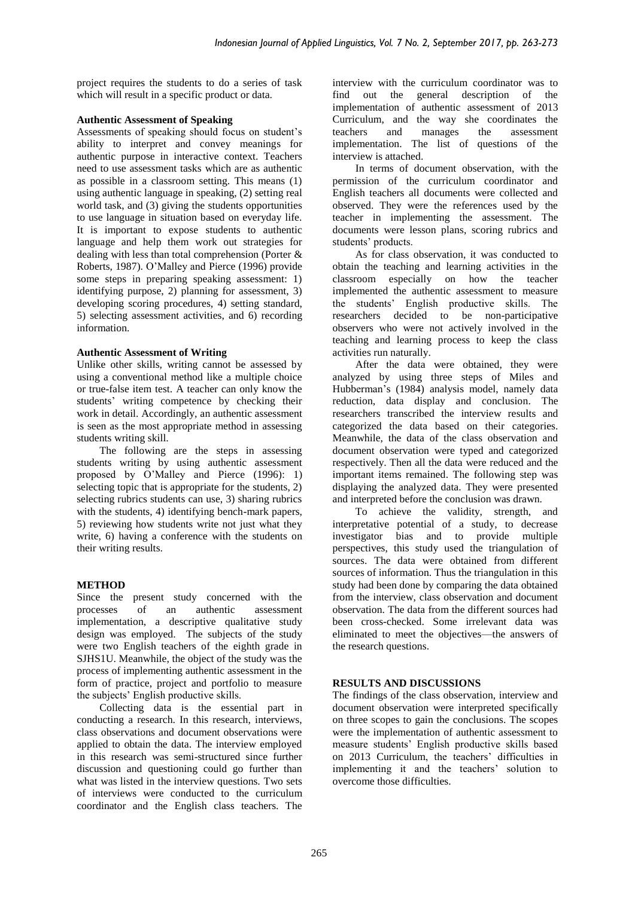project requires the students to do a series of task which will result in a specific product or data.

### **Authentic Assessment of Speaking**

Assessments of speaking should focus on student's ability to interpret and convey meanings for authentic purpose in interactive context. Teachers need to use assessment tasks which are as authentic as possible in a classroom setting. This means (1) using authentic language in speaking, (2) setting real world task, and (3) giving the students opportunities to use language in situation based on everyday life. It is important to expose students to authentic language and help them work out strategies for dealing with less than total comprehension (Porter & Roberts, 1987). O'Malley and Pierce (1996) provide some steps in preparing speaking assessment: 1) identifying purpose, 2) planning for assessment, 3) developing scoring procedures, 4) setting standard, 5) selecting assessment activities, and 6) recording information.

# **Authentic Assessment of Writing**

Unlike other skills, writing cannot be assessed by using a conventional method like a multiple choice or true-false item test. A teacher can only know the students' writing competence by checking their work in detail. Accordingly, an authentic assessment is seen as the most appropriate method in assessing students writing skill.

The following are the steps in assessing students writing by using authentic assessment proposed by O'Malley and Pierce (1996): 1) selecting topic that is appropriate for the students, 2) selecting rubrics students can use, 3) sharing rubrics with the students, 4) identifying bench-mark papers, 5) reviewing how students write not just what they write, 6) having a conference with the students on their writing results.

#### **METHOD**

Since the present study concerned with the processes of an authentic assessment implementation, a descriptive qualitative study design was employed. The subjects of the study were two English teachers of the eighth grade in SJHS1U. Meanwhile, the object of the study was the process of implementing authentic assessment in the form of practice, project and portfolio to measure the subjects' English productive skills.

Collecting data is the essential part in conducting a research. In this research, interviews, class observations and document observations were applied to obtain the data. The interview employed in this research was semi-structured since further discussion and questioning could go further than what was listed in the interview questions. Two sets of interviews were conducted to the curriculum coordinator and the English class teachers. The interview with the curriculum coordinator was to find out the general description of the implementation of authentic assessment of 2013 Curriculum, and the way she coordinates the teachers and manages the assessment implementation. The list of questions of the interview is attached.

In terms of document observation, with the permission of the curriculum coordinator and English teachers all documents were collected and observed. They were the references used by the teacher in implementing the assessment. The documents were lesson plans, scoring rubrics and students' products.

As for class observation, it was conducted to obtain the teaching and learning activities in the classroom especially on how the teacher implemented the authentic assessment to measure the students' English productive skills. The researchers decided to be non-participative observers who were not actively involved in the teaching and learning process to keep the class activities run naturally.

After the data were obtained, they were analyzed by using three steps of Miles and Hubberman's (1984) analysis model, namely data reduction, data display and conclusion. The researchers transcribed the interview results and categorized the data based on their categories. Meanwhile, the data of the class observation and document observation were typed and categorized respectively. Then all the data were reduced and the important items remained. The following step was displaying the analyzed data. They were presented and interpreted before the conclusion was drawn.

To achieve the validity, strength, and interpretative potential of a study, to decrease investigator bias and to provide multiple perspectives, this study used the triangulation of sources. The data were obtained from different sources of information. Thus the triangulation in this study had been done by comparing the data obtained from the interview, class observation and document observation. The data from the different sources had been cross-checked. Some irrelevant data was eliminated to meet the objectives—the answers of the research questions.

# **RESULTS AND DISCUSSIONS**

The findings of the class observation, interview and document observation were interpreted specifically on three scopes to gain the conclusions. The scopes were the implementation of authentic assessment to measure students' English productive skills based on 2013 Curriculum, the teachers' difficulties in implementing it and the teachers' solution to overcome those difficulties.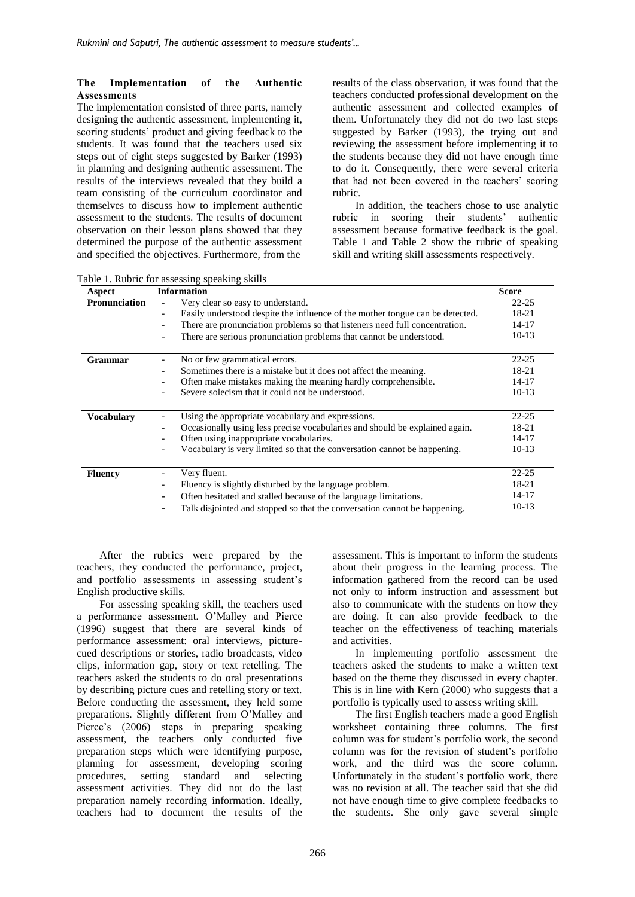#### **The Implementation of the Authentic Assessments**

The implementation consisted of three parts, namely designing the authentic assessment, implementing it, scoring students' product and giving feedback to the students. It was found that the teachers used six steps out of eight steps suggested by Barker (1993) in planning and designing authentic assessment. The results of the interviews revealed that they build a team consisting of the curriculum coordinator and themselves to discuss how to implement authentic assessment to the students. The results of document observation on their lesson plans showed that they determined the purpose of the authentic assessment and specified the objectives. Furthermore, from the

results of the class observation, it was found that the teachers conducted professional development on the authentic assessment and collected examples of them. Unfortunately they did not do two last steps suggested by Barker (1993), the trying out and reviewing the assessment before implementing it to the students because they did not have enough time to do it. Consequently, there were several criteria that had not been covered in the teachers' scoring rubric.

In addition, the teachers chose to use analytic rubric in scoring their students' authentic assessment because formative feedback is the goal. Table 1 and Table 2 show the rubric of speaking skill and writing skill assessments respectively.

| Table 1. Rubric for assessing speaking skills |
|-----------------------------------------------|
|-----------------------------------------------|

| Aspect            | <b>Information</b>                                                            | <b>Score</b> |  |
|-------------------|-------------------------------------------------------------------------------|--------------|--|
| Pronunciation     | Very clear so easy to understand.                                             |              |  |
|                   | Easily understood despite the influence of the mother tongue can be detected. | 18-21        |  |
|                   | There are pronunciation problems so that listeners need full concentration.   | $14 - 17$    |  |
|                   | There are serious pronunciation problems that cannot be understood.           | $10-13$      |  |
| Grammar           | No or few grammatical errors.                                                 |              |  |
|                   | Sometimes there is a mistake but it does not affect the meaning.              | 18-21        |  |
|                   | Often make mistakes making the meaning hardly comprehensible.                 | $14 - 17$    |  |
|                   | Severe solecism that it could not be understood.                              | $10-13$      |  |
| <b>Vocabulary</b> | Using the appropriate vocabulary and expressions.                             | $22 - 25$    |  |
|                   | Occasionally using less precise vocabularies and should be explained again.   | $18-21$      |  |
|                   |                                                                               | $14 - 17$    |  |
|                   | Often using inappropriate vocabularies.                                       |              |  |
|                   | Vocabulary is very limited so that the conversation cannot be happening.      | $10-13$      |  |
| <b>Fluency</b>    | Very fluent.                                                                  | $22 - 25$    |  |
|                   | Fluency is slightly disturbed by the language problem.                        | 18-21        |  |
|                   | Often hesitated and stalled because of the language limitations.              | 14-17        |  |
|                   | Talk disjointed and stopped so that the conversation cannot be happening.     | $10-13$      |  |

After the rubrics were prepared by the teachers, they conducted the performance, project, and portfolio assessments in assessing student's English productive skills.

For assessing speaking skill, the teachers used a performance assessment. O'Malley and Pierce (1996) suggest that there are several kinds of performance assessment: oral interviews, picturecued descriptions or stories, radio broadcasts, video clips, information gap, story or text retelling. The teachers asked the students to do oral presentations by describing picture cues and retelling story or text. Before conducting the assessment, they held some preparations. Slightly different from O'Malley and Pierce's (2006) steps in preparing speaking assessment, the teachers only conducted five preparation steps which were identifying purpose, planning for assessment, developing scoring procedures, setting standard and selecting assessment activities. They did not do the last preparation namely recording information. Ideally, teachers had to document the results of the assessment. This is important to inform the students about their progress in the learning process. The information gathered from the record can be used not only to inform instruction and assessment but also to communicate with the students on how they are doing. It can also provide feedback to the teacher on the effectiveness of teaching materials and activities.

In implementing portfolio assessment the teachers asked the students to make a written text based on the theme they discussed in every chapter. This is in line with Kern (2000) who suggests that a portfolio is typically used to assess writing skill.

The first English teachers made a good English worksheet containing three columns. The first column was for student's portfolio work, the second column was for the revision of student's portfolio work, and the third was the score column. Unfortunately in the student's portfolio work, there was no revision at all. The teacher said that she did not have enough time to give complete feedbacks to the students. She only gave several simple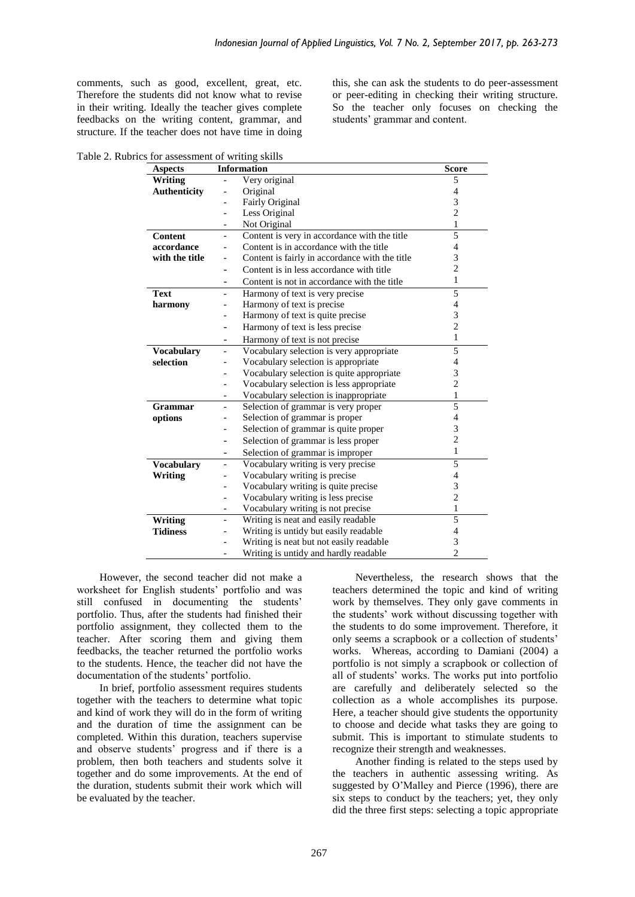comments, such as good, excellent, great, etc. Therefore the students did not know what to revise in their writing. Ideally the teacher gives complete feedbacks on the writing content, grammar, and structure. If the teacher does not have time in doing this, she can ask the students to do peer-assessment or peer-editing in checking their writing structure. So the teacher only focuses on checking the students' grammar and content.

Table 2. Rubrics for assessment of writing skills

| <b>Aspects</b>      | <b>Information</b>                                                       | <b>Score</b>   |
|---------------------|--------------------------------------------------------------------------|----------------|
| Writing             | Very original                                                            | 5              |
| <b>Authenticity</b> | Original<br>$\overline{\phantom{0}}$                                     | 4              |
|                     | Fairly Original<br>$\overline{\phantom{0}}$                              | 3              |
|                     | Less Original<br>$\overline{\phantom{0}}$                                | $\overline{c}$ |
|                     | Not Original<br>$\overline{\phantom{0}}$                                 | 1              |
| Content             | Content is very in accordance with the title<br>$\overline{\phantom{0}}$ | 5              |
| accordance          | Content is in accordance with the title                                  | 4              |
| with the title      | Content is fairly in accordance with the title                           | 3              |
|                     | Content is in less accordance with title<br>$\overline{a}$               | $\overline{c}$ |
|                     | Content is not in accordance with the title<br>$\overline{\phantom{0}}$  | 1              |
| <b>Text</b>         | Harmony of text is very precise<br>$\overline{a}$                        | 5              |
| harmony             | Harmony of text is precise                                               | 4              |
|                     | Harmony of text is quite precise                                         | 3              |
|                     | Harmony of text is less precise<br>-                                     | $\overline{2}$ |
|                     | Harmony of text is not precise<br>÷,                                     | $\mathbf{1}$   |
| <b>Vocabulary</b>   | Vocabulary selection is very appropriate<br>$\overline{a}$               | 5              |
| selection           | Vocabulary selection is appropriate                                      | 4              |
|                     | Vocabulary selection is quite appropriate                                | 3              |
|                     | Vocabulary selection is less appropriate<br>$\overline{a}$               | $\overline{c}$ |
|                     | Vocabulary selection is inappropriate<br>$\overline{\phantom{0}}$        | 1              |
| Grammar             | Selection of grammar is very proper<br>$\overline{\phantom{0}}$          | $\overline{5}$ |
| options             | Selection of grammar is proper<br>$\overline{\phantom{0}}$               | $\overline{4}$ |
|                     | Selection of grammar is quite proper<br>$\overline{a}$                   | 3              |
|                     | Selection of grammar is less proper<br>-                                 | $\overline{2}$ |
|                     | Selection of grammar is improper                                         | 1              |
| <b>Vocabulary</b>   | Vocabulary writing is very precise<br>$\overline{\phantom{0}}$           | 5              |
| Writing             | Vocabulary writing is precise<br>$\overline{a}$                          | $\overline{4}$ |
|                     | Vocabulary writing is quite precise<br>$\overline{a}$                    | 3              |
|                     | Vocabulary writing is less precise<br>$\overline{\phantom{0}}$           | $\overline{2}$ |
|                     | Vocabulary writing is not precise<br>$\overline{\phantom{0}}$            | 1              |
| <b>Writing</b>      | Writing is neat and easily readable<br>$\overline{a}$                    | $\overline{5}$ |
| <b>Tidiness</b>     | Writing is untidy but easily readable                                    | $\overline{4}$ |
|                     | Writing is neat but not easily readable                                  | 3              |
|                     | Writing is untidy and hardly readable                                    | $\overline{c}$ |

However, the second teacher did not make a worksheet for English students' portfolio and was still confused in documenting the students' portfolio. Thus, after the students had finished their portfolio assignment, they collected them to the teacher. After scoring them and giving them feedbacks, the teacher returned the portfolio works to the students. Hence, the teacher did not have the documentation of the students' portfolio.

In brief, portfolio assessment requires students together with the teachers to determine what topic and kind of work they will do in the form of writing and the duration of time the assignment can be completed. Within this duration, teachers supervise and observe students' progress and if there is a problem, then both teachers and students solve it together and do some improvements. At the end of the duration, students submit their work which will be evaluated by the teacher.

Nevertheless, the research shows that the teachers determined the topic and kind of writing work by themselves. They only gave comments in the students' work without discussing together with the students to do some improvement. Therefore, it only seems a scrapbook or a collection of students' works. Whereas, according to Damiani (2004) a portfolio is not simply a scrapbook or collection of all of students' works. The works put into portfolio are carefully and deliberately selected so the collection as a whole accomplishes its purpose. Here, a teacher should give students the opportunity to choose and decide what tasks they are going to submit. This is important to stimulate students to recognize their strength and weaknesses.

Another finding is related to the steps used by the teachers in authentic assessing writing. As suggested by O'Malley and Pierce (1996), there are six steps to conduct by the teachers; yet, they only did the three first steps: selecting a topic appropriate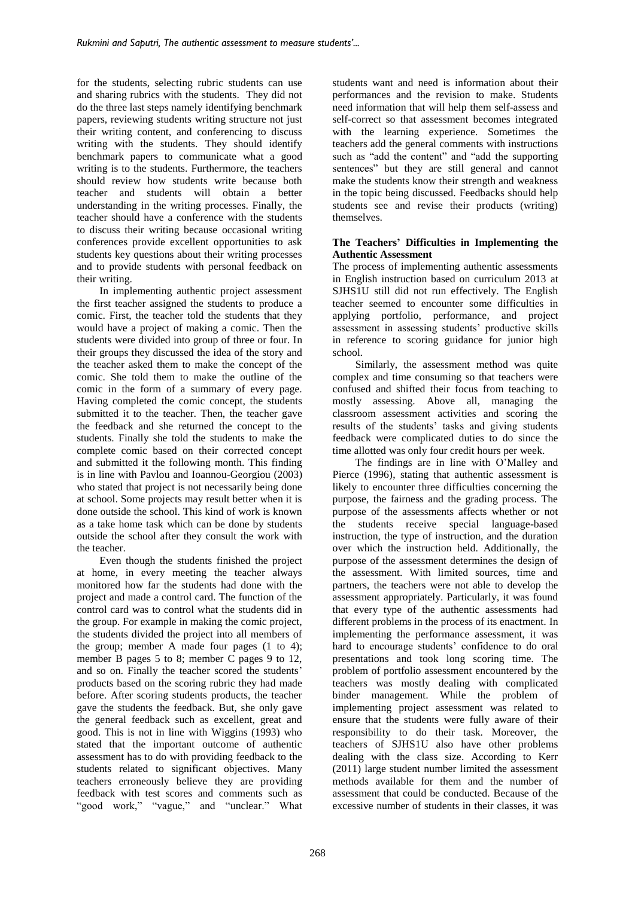for the students, selecting rubric students can use and sharing rubrics with the students. They did not do the three last steps namely identifying benchmark papers, reviewing students writing structure not just their writing content, and conferencing to discuss writing with the students. They should identify benchmark papers to communicate what a good writing is to the students. Furthermore, the teachers should review how students write because both teacher and students will obtain a better understanding in the writing processes. Finally, the teacher should have a conference with the students to discuss their writing because occasional writing conferences provide excellent opportunities to ask students key questions about their writing processes and to provide students with personal feedback on their writing.

In implementing authentic project assessment the first teacher assigned the students to produce a comic. First, the teacher told the students that they would have a project of making a comic. Then the students were divided into group of three or four. In their groups they discussed the idea of the story and the teacher asked them to make the concept of the comic. She told them to make the outline of the comic in the form of a summary of every page. Having completed the comic concept, the students submitted it to the teacher. Then, the teacher gave the feedback and she returned the concept to the students. Finally she told the students to make the complete comic based on their corrected concept and submitted it the following month. This finding is in line with Pavlou and Ioannou-Georgiou (2003) who stated that project is not necessarily being done at school. Some projects may result better when it is done outside the school. This kind of work is known as a take home task which can be done by students outside the school after they consult the work with the teacher.

Even though the students finished the project at home, in every meeting the teacher always monitored how far the students had done with the project and made a control card. The function of the control card was to control what the students did in the group. For example in making the comic project, the students divided the project into all members of the group; member A made four pages (1 to 4); member B pages 5 to 8; member C pages 9 to 12, and so on. Finally the teacher scored the students' products based on the scoring rubric they had made before. After scoring students products, the teacher gave the students the feedback. But, she only gave the general feedback such as excellent, great and good. This is not in line with Wiggins (1993) who stated that the important outcome of authentic assessment has to do with providing feedback to the students related to significant objectives. Many teachers erroneously believe they are providing feedback with test scores and comments such as "good work," "vague," and "unclear." What students want and need is information about their performances and the revision to make. Students need information that will help them self-assess and self-correct so that assessment becomes integrated with the learning experience. Sometimes the teachers add the general comments with instructions such as "add the content" and "add the supporting sentences" but they are still general and cannot make the students know their strength and weakness in the topic being discussed. Feedbacks should help students see and revise their products (writing) themselves.

#### **The Teachers' Difficulties in Implementing the Authentic Assessment**

The process of implementing authentic assessments in English instruction based on curriculum 2013 at SJHS1U still did not run effectively. The English teacher seemed to encounter some difficulties in applying portfolio, performance, and project assessment in assessing students' productive skills in reference to scoring guidance for junior high school*.*

Similarly, the assessment method was quite complex and time consuming so that teachers were confused and shifted their focus from teaching to mostly assessing. Above all, managing the classroom assessment activities and scoring the results of the students' tasks and giving students feedback were complicated duties to do since the time allotted was only four credit hours per week.

The findings are in line with O'Malley and Pierce (1996), stating that authentic assessment is likely to encounter three difficulties concerning the purpose, the fairness and the grading process. The purpose of the assessments affects whether or not the students receive special language-based instruction, the type of instruction, and the duration over which the instruction held. Additionally, the purpose of the assessment determines the design of the assessment. With limited sources, time and partners, the teachers were not able to develop the assessment appropriately. Particularly, it was found that every type of the authentic assessments had different problems in the process of its enactment. In implementing the performance assessment, it was hard to encourage students' confidence to do oral presentations and took long scoring time. The problem of portfolio assessment encountered by the teachers was mostly dealing with complicated binder management. While the problem of implementing project assessment was related to ensure that the students were fully aware of their responsibility to do their task. Moreover, the teachers of SJHS1U also have other problems dealing with the class size. According to Kerr (2011) large student number limited the assessment methods available for them and the number of assessment that could be conducted. Because of the excessive number of students in their classes, it was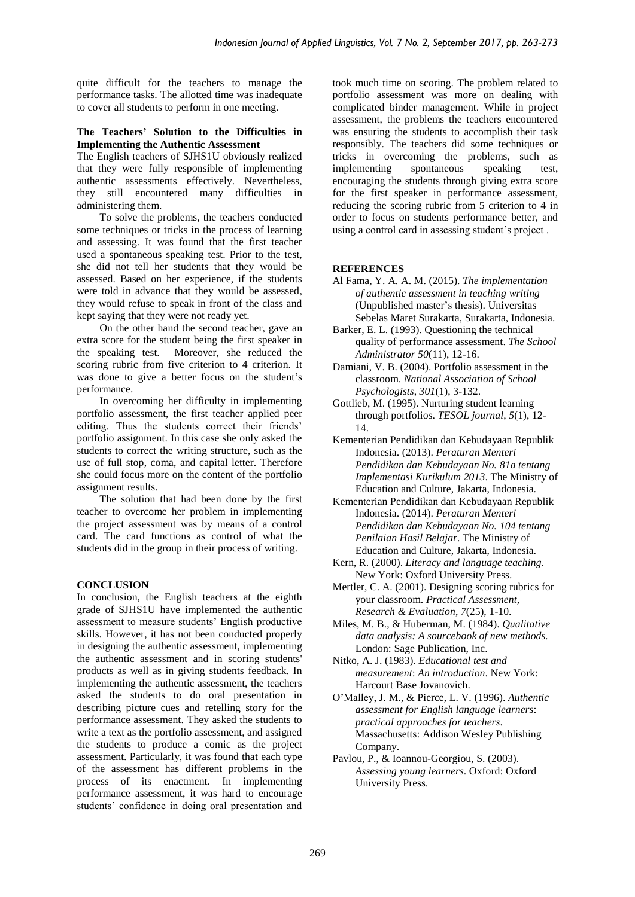quite difficult for the teachers to manage the performance tasks. The allotted time was inadequate to cover all students to perform in one meeting.

#### **The Teachers' Solution to the Difficulties in Implementing the Authentic Assessment**

The English teachers of SJHS1U obviously realized that they were fully responsible of implementing authentic assessments effectively. Nevertheless, they still encountered many difficulties in administering them.

To solve the problems, the teachers conducted some techniques or tricks in the process of learning and assessing. It was found that the first teacher used a spontaneous speaking test. Prior to the test, she did not tell her students that they would be assessed. Based on her experience, if the students were told in advance that they would be assessed, they would refuse to speak in front of the class and kept saying that they were not ready yet.

On the other hand the second teacher, gave an extra score for the student being the first speaker in the speaking test. Moreover, she reduced the scoring rubric from five criterion to 4 criterion. It was done to give a better focus on the student's performance.

In overcoming her difficulty in implementing portfolio assessment, the first teacher applied peer editing. Thus the students correct their friends' portfolio assignment. In this case she only asked the students to correct the writing structure, such as the use of full stop, coma, and capital letter. Therefore she could focus more on the content of the portfolio assignment results.

The solution that had been done by the first teacher to overcome her problem in implementing the project assessment was by means of a control card. The card functions as control of what the students did in the group in their process of writing.

# **CONCLUSION**

In conclusion, the English teachers at the eighth grade of SJHS1U have implemented the authentic assessment to measure students' English productive skills. However, it has not been conducted properly in designing the authentic assessment, implementing the authentic assessment and in scoring students' products as well as in giving students feedback. In implementing the authentic assessment, the teachers asked the students to do oral presentation in describing picture cues and retelling story for the performance assessment. They asked the students to write a text as the portfolio assessment, and assigned the students to produce a comic as the project assessment. Particularly, it was found that each type of the assessment has different problems in the process of its enactment. In implementing performance assessment, it was hard to encourage students' confidence in doing oral presentation and

took much time on scoring. The problem related to portfolio assessment was more on dealing with complicated binder management. While in project assessment, the problems the teachers encountered was ensuring the students to accomplish their task responsibly. The teachers did some techniques or tricks in overcoming the problems, such as implementing spontaneous speaking test, encouraging the students through giving extra score for the first speaker in performance assessment, reducing the scoring rubric from 5 criterion to 4 in order to focus on students performance better, and using a control card in assessing student's project .

# **REFERENCES**

- Al Fama, Y. A. A. M. (2015). *The implementation of authentic assessment in teaching writing* (Unpublished master's thesis). Universitas Sebelas Maret Surakarta, Surakarta, Indonesia.
- Barker, E. L. (1993). Questioning the technical quality of performance assessment. *The School Administrator 50*(11), 12-16.
- Damiani, V. B. (2004). Portfolio assessment in the classroom. *National Association of School Psychologists*, *301*(1), 3-132.
- Gottlieb, M. (1995). Nurturing student learning through portfolios. *TESOL journal*, *5*(1), 12- 14.
- Kementerian Pendidikan dan Kebudayaan Republik Indonesia. (2013). *Peraturan Menteri Pendidikan dan Kebudayaan No. 81a tentang Implementasi Kurikulum 2013*. The Ministry of Education and Culture, Jakarta, Indonesia.
- Kementerian Pendidikan dan Kebudayaan Republik Indonesia. (2014). *Peraturan Menteri Pendidikan dan Kebudayaan No. 104 tentang Penilaian Hasil Belajar*. The Ministry of Education and Culture, Jakarta, Indonesia.
- Kern, R. (2000). *Literacy and language teaching*. New York: Oxford University Press.
- Mertler, C. A. (2001). Designing scoring rubrics for your classroom. *Practical Assessment, Research & Evaluation*, *7*(25), 1-10.
- Miles, M. B., & Huberman, M. (1984). *Qualitative data analysis: A sourcebook of new methods.* London: Sage Publication, Inc.
- Nitko, A. J. (1983). *Educational test and measurement*: *An introduction*. New York: Harcourt Base Jovanovich.
- O'Malley, J. M., & Pierce, L. V. (1996). *Authentic assessment for English language learners*: *practical approaches for teachers*. Massachusetts: Addison Wesley Publishing Company.
- Pavlou, P., & Ioannou-Georgiou, S. (2003). *Assessing young learners*. Oxford: Oxford University Press.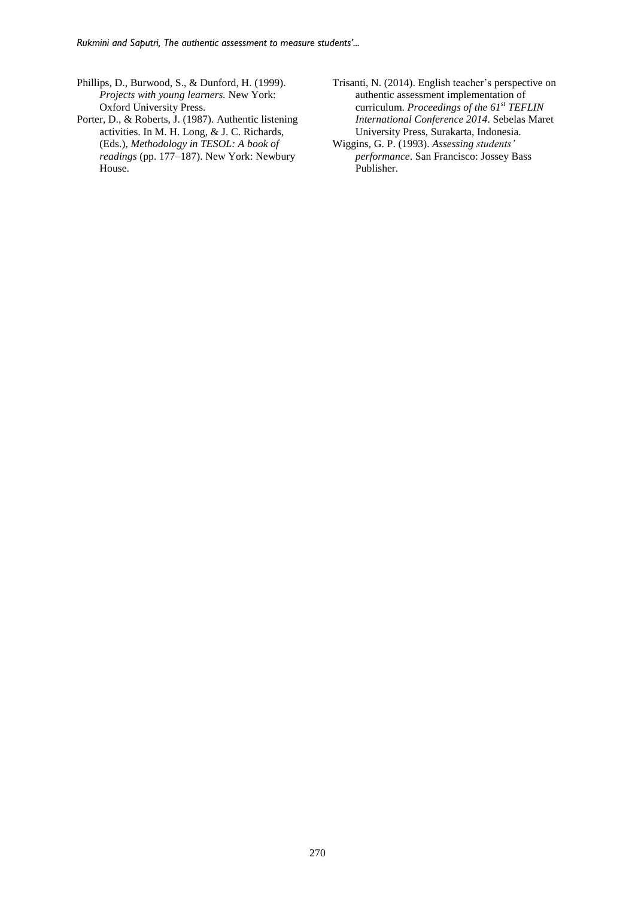- Phillips, D., Burwood, S., & Dunford, H. (1999). *Projects with young learners.* New York: Oxford University Press.
- Porter, D., & Roberts, J. (1987). Authentic listening activities. In M. H. Long, & J. C. Richards, (Eds.), *Methodology in TESOL: A book of readings* (pp. 177–187). New York: Newbury House.
- Trisanti, N. (2014). English teacher's perspective on authentic assessment implementation of curriculum. *Proceedings of the 61st TEFLIN International Conference 2014*. Sebelas Maret University Press, Surakarta, Indonesia.
- Wiggins, G. P. (1993). *Assessing students' performance*. San Francisco: Jossey Bass Publisher.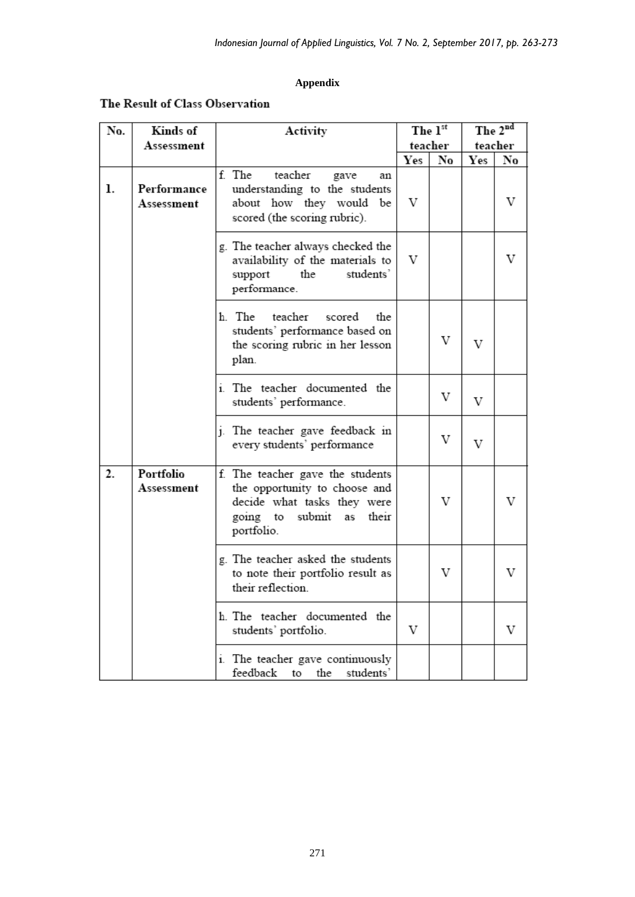# **Appendix**

# The Result of Class Observation

| No. | Kinds of                  | Activity                                                                                                                                      | The 1st |    | The 2nd |    |
|-----|---------------------------|-----------------------------------------------------------------------------------------------------------------------------------------------|---------|----|---------|----|
|     | Assessment                |                                                                                                                                               | teacher |    | teacher |    |
|     |                           |                                                                                                                                               | Yes     | No | Yes     | No |
| ı.  | Performance<br>Assessment | f. The<br>teacher<br>gave<br>an<br>understanding to the students<br>about how they would be<br>scored (the scoring rubric).                   | V       |    |         | V  |
|     |                           | g. The teacher always checked the<br>availability of the materials to<br>students'<br>the<br>support<br>performance.                          | V       |    |         | V  |
|     |                           | h. The teacher<br>scored<br>the<br>students' performance based on<br>the scoring rubric in her lesson<br>plan.                                |         | V  | V       |    |
|     |                           | i. The teacher documented the<br>students' performance.                                                                                       |         | V  | V       |    |
|     |                           | j. The teacher gave feedback in<br>every students' performance                                                                                |         | V  | V       |    |
| 2.  | Portfolio<br>Assessment   | f. The teacher gave the students<br>the opportunity to choose and<br>decide what tasks they were<br>going to submit as<br>their<br>portfolio. |         | V  |         | V  |
|     |                           | g. The teacher asked the students<br>to note their portfolio result as<br>their reflection.                                                   |         | V  |         | V  |
|     |                           | h. The teacher documented the<br>students' portfolio.                                                                                         | V       |    |         | V  |
|     |                           | i. The teacher gave continuously<br>feedback to the students'                                                                                 |         |    |         |    |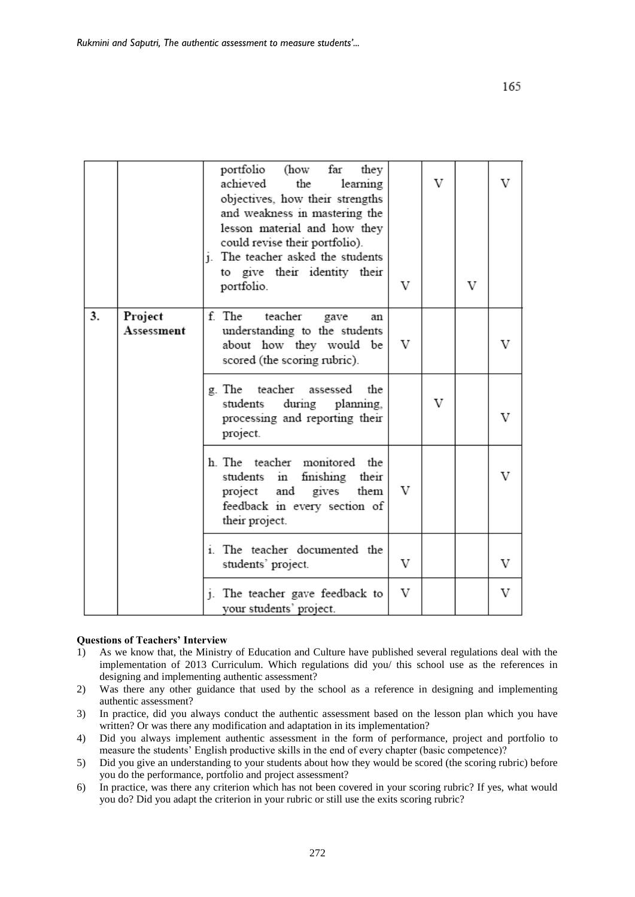|    |                       | portfolio<br>(how<br>far<br>they<br>achieved<br>the<br>learning<br>objectives, how their strengths<br>and weakness in mastering the<br>lesson material and how they<br>could revise their portfolio).<br>j. The teacher asked the students<br>to give their identity their<br>portfolio. | V | V | V | V |
|----|-----------------------|------------------------------------------------------------------------------------------------------------------------------------------------------------------------------------------------------------------------------------------------------------------------------------------|---|---|---|---|
| 3. | Project<br>Assessment | f. The<br>teacher<br>gave<br>an<br>understanding to the students<br>about how they would be<br>scored (the scoring rubric).                                                                                                                                                              | V |   |   |   |
|    |                       | g. The teacher<br>assessed<br>the<br>during planning,<br>students<br>processing and reporting their<br>project.                                                                                                                                                                          |   | V |   |   |
|    |                       | h. The teacher monitored the<br>students in finishing their<br>project and gives them<br>feedback in every section of<br>their project.                                                                                                                                                  | V |   |   | V |
|    |                       | i. The teacher documented the<br>students' project.                                                                                                                                                                                                                                      | V |   |   | V |
|    |                       | j. The teacher gave feedback to<br>vour students' project.                                                                                                                                                                                                                               | V |   |   | V |

#### **Questions of Teachers' Interview**

- 1) As we know that, the Ministry of Education and Culture have published several regulations deal with the implementation of 2013 Curriculum. Which regulations did you/ this school use as the references in designing and implementing authentic assessment?
- 2) Was there any other guidance that used by the school as a reference in designing and implementing authentic assessment?
- 3) In practice, did you always conduct the authentic assessment based on the lesson plan which you have written? Or was there any modification and adaptation in its implementation?
- 4) Did you always implement authentic assessment in the form of performance, project and portfolio to measure the students' English productive skills in the end of every chapter (basic competence)?
- 5) Did you give an understanding to your students about how they would be scored (the scoring rubric) before you do the performance, portfolio and project assessment?
- 6) In practice, was there any criterion which has not been covered in your scoring rubric? If yes, what would you do? Did you adapt the criterion in your rubric or still use the exits scoring rubric?